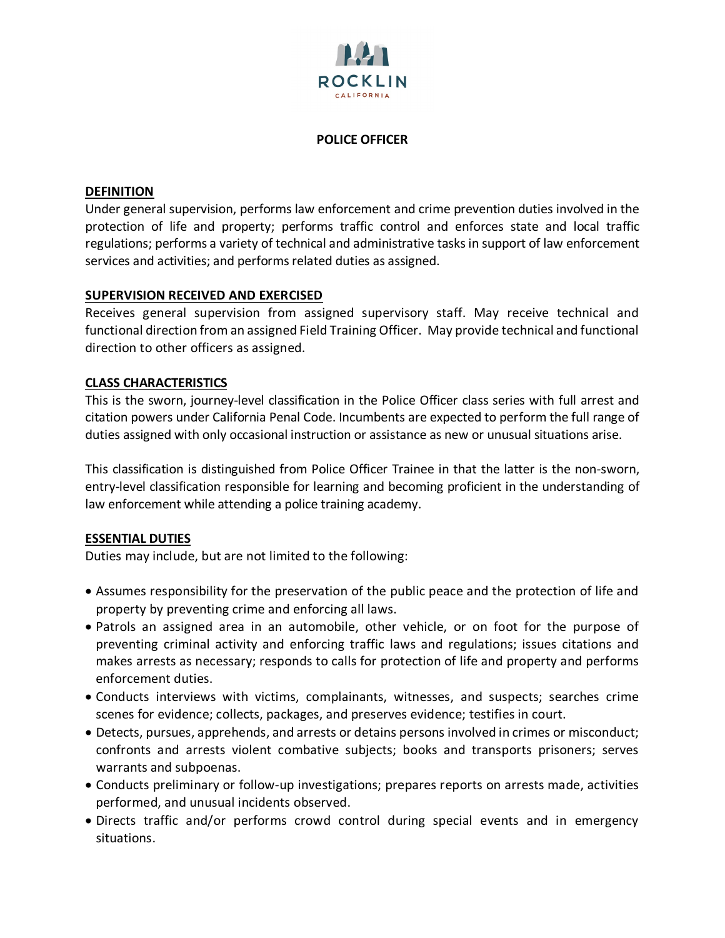

### **POLICE OFFICER**

### **DEFINITION**

Under general supervision, performs law enforcement and crime prevention duties involved in the protection of life and property; performs traffic control and enforces state and local traffic regulations; performs a variety of technical and administrative tasks in support of law enforcement services and activities; and performs related duties as assigned.

## **SUPERVISION RECEIVED AND EXERCISED**

Receives general supervision from assigned supervisory staff. May receive technical and functional direction from an assigned Field Training Officer. May provide technical and functional direction to other officers as assigned.

### **CLASS CHARACTERISTICS**

This is the sworn, journey-level classification in the Police Officer class series with full arrest and citation powers under California Penal Code. Incumbents are expected to perform the full range of duties assigned with only occasional instruction or assistance as new or unusual situations arise.

This classification is distinguished from Police Officer Trainee in that the latter is the non-sworn, entry-level classification responsible for learning and becoming proficient in the understanding of law enforcement while attending a police training academy.

#### **ESSENTIAL DUTIES**

Duties may include, but are not limited to the following:

- Assumes responsibility for the preservation of the public peace and the protection of life and property by preventing crime and enforcing all laws.
- Patrols an assigned area in an automobile, other vehicle, or on foot for the purpose of preventing criminal activity and enforcing traffic laws and regulations; issues citations and makes arrests as necessary; responds to calls for protection of life and property and performs enforcement duties.
- Conducts interviews with victims, complainants, witnesses, and suspects; searches crime scenes for evidence; collects, packages, and preserves evidence; testifies in court.
- Detects, pursues, apprehends, and arrests or detains persons involved in crimes or misconduct; confronts and arrests violent combative subjects; books and transports prisoners; serves warrants and subpoenas.
- Conducts preliminary or follow-up investigations; prepares reports on arrests made, activities performed, and unusual incidents observed.
- Directs traffic and/or performs crowd control during special events and in emergency situations.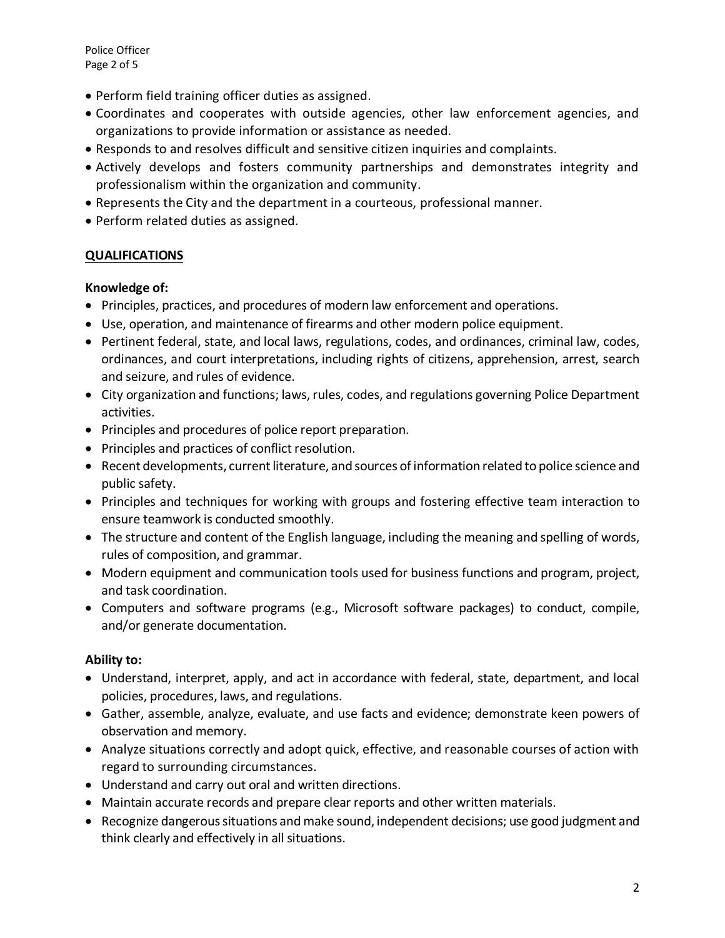Police Officer Page 2 of 5

- Perform field training officer duties as assigned.
- Coordinates and cooperates with outside agencies, other law enforcement agencies, and organizations to provide information or assistance as needed.
- Responds to and resolves difficult and sensitive citizen inquiries and complaints.
- Actively develops and fosters community partnerships and demonstrates integrity and professionalism within the organization and community.
- Represents the City and the department in a courteous, professional manner.
- Perform related duties as assigned.

# **QUALIFICATIONS**

## **Knowledge of:**

- Principles, practices, and procedures of modern law enforcement and operations.
- Use, operation, and maintenance of firearms and other modern police equipment.
- Pertinent federal, state, and local laws, regulations, codes, and ordinances, criminal law, codes, ordinances, and court interpretations, including rights of citizens, apprehension, arrest, search and seizure, and rules of evidence.
- City organization and functions; laws, rules, codes, and regulations governing Police Department activities.
- Principles and procedures of police report preparation.
- Principles and practices of conflict resolution.
- Recent developments, current literature, and sources of information related to police science and public safety.
- Principles and techniques for working with groups and fostering effective team interaction to ensure teamwork is conducted smoothly.
- The structure and content of the English language, including the meaning and spelling of words, rules of composition, and grammar.
- Modern equipment and communication tools used for business functions and program, project, and task coordination.
- Computers and software programs (e.g., Microsoft software packages) to conduct, compile, and/or generate documentation.

## **Ability to:**

- Understand, interpret, apply, and act in accordance with federal, state, department, and local policies, procedures, laws, and regulations.
- Gather, assemble, analyze, evaluate, and use facts and evidence; demonstrate keen powers of observation and memory.
- Analyze situations correctly and adopt quick, effective, and reasonable courses of action with regard to surrounding circumstances.
- Understand and carry out oral and written directions.
- Maintain accurate records and prepare clear reports and other written materials.
- Recognize dangerous situations and make sound, independent decisions; use good judgment and think clearly and effectively in all situations.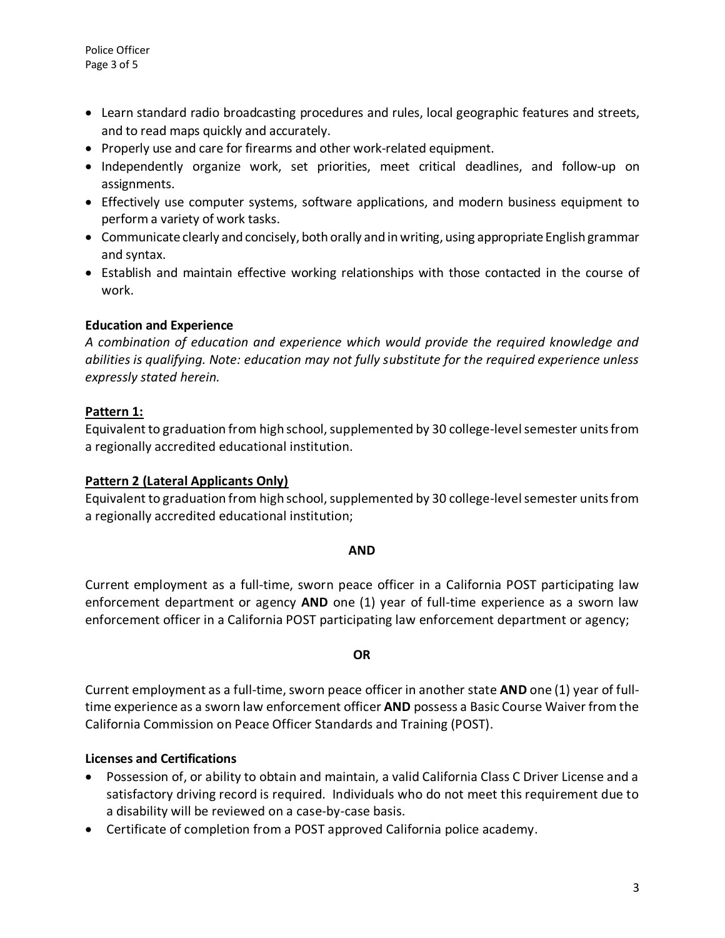- Learn standard radio broadcasting procedures and rules, local geographic features and streets, and to read maps quickly and accurately.
- Properly use and care for firearms and other work-related equipment.
- Independently organize work, set priorities, meet critical deadlines, and follow-up on assignments.
- Effectively use computer systems, software applications, and modern business equipment to perform a variety of work tasks.
- Communicate clearly and concisely, both orally and in writing, using appropriate English grammar and syntax.
- Establish and maintain effective working relationships with those contacted in the course of work.

# **Education and Experience**

*A combination of education and experience which would provide the required knowledge and abilities is qualifying. Note: education may not fully substitute for the required experience unless expressly stated herein.*

# **Pattern 1:**

Equivalent to graduation from high school, supplemented by 30 college-level semester units from a regionally accredited educational institution.

# **Pattern 2 (Lateral Applicants Only)**

Equivalent to graduation from high school, supplemented by 30 college-level semester units from a regionally accredited educational institution;

## **AND**

Current employment as a full-time, sworn peace officer in a California POST participating law enforcement department or agency **AND** one (1) year of full-time experience as a sworn law enforcement officer in a California POST participating law enforcement department or agency;

## **OR**

Current employment as a full-time, sworn peace officer in another state **AND** one (1) year of fulltime experience as a sworn law enforcement officer **AND** possess a Basic Course Waiver from the California Commission on Peace Officer Standards and Training (POST).

## **Licenses and Certifications**

- Possession of, or ability to obtain and maintain, a valid California Class C Driver License and a satisfactory driving record is required. Individuals who do not meet this requirement due to a disability will be reviewed on a case-by-case basis.
- Certificate of completion from a POST approved California police academy.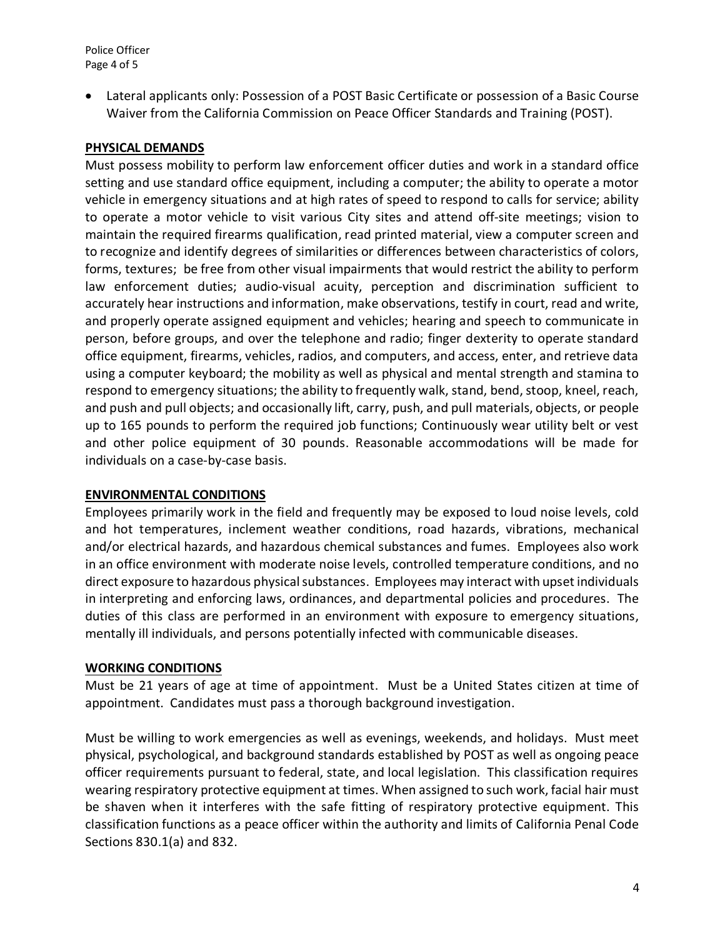• Lateral applicants only: Possession of a POST Basic Certificate or possession of a Basic Course Waiver from the California Commission on Peace Officer Standards and Training (POST).

### **PHYSICAL DEMANDS**

Must possess mobility to perform law enforcement officer duties and work in a standard office setting and use standard office equipment, including a computer; the ability to operate a motor vehicle in emergency situations and at high rates of speed to respond to calls for service; ability to operate a motor vehicle to visit various City sites and attend off-site meetings; vision to maintain the required firearms qualification, read printed material, view a computer screen and to recognize and identify degrees of similarities or differences between characteristics of colors, forms, textures; be free from other visual impairments that would restrict the ability to perform law enforcement duties; audio-visual acuity, perception and discrimination sufficient to accurately hear instructions and information, make observations, testify in court, read and write, and properly operate assigned equipment and vehicles; hearing and speech to communicate in person, before groups, and over the telephone and radio; finger dexterity to operate standard office equipment, firearms, vehicles, radios, and computers, and access, enter, and retrieve data using a computer keyboard; the mobility as well as physical and mental strength and stamina to respond to emergency situations; the ability to frequently walk, stand, bend, stoop, kneel, reach, and push and pull objects; and occasionally lift, carry, push, and pull materials, objects, or people up to 165 pounds to perform the required job functions; Continuously wear utility belt or vest and other police equipment of 30 pounds. Reasonable accommodations will be made for individuals on a case-by-case basis.

#### **ENVIRONMENTAL CONDITIONS**

Employees primarily work in the field and frequently may be exposed to loud noise levels, cold and hot temperatures, inclement weather conditions, road hazards, vibrations, mechanical and/or electrical hazards, and hazardous chemical substances and fumes. Employees also work in an office environment with moderate noise levels, controlled temperature conditions, and no direct exposure to hazardous physical substances. Employees may interact with upset individuals in interpreting and enforcing laws, ordinances, and departmental policies and procedures. The duties of this class are performed in an environment with exposure to emergency situations, mentally ill individuals, and persons potentially infected with communicable diseases.

#### **WORKING CONDITIONS**

Must be 21 years of age at time of appointment. Must be a United States citizen at time of appointment. Candidates must pass a thorough background investigation.

Must be willing to work emergencies as well as evenings, weekends, and holidays. Must meet physical, psychological, and background standards established by POST as well as ongoing peace officer requirements pursuant to federal, state, and local legislation. This classification requires wearing respiratory protective equipment at times. When assigned to such work, facial hair must be shaven when it interferes with the safe fitting of respiratory protective equipment. This classification functions as a peace officer within the authority and limits of California Penal Code Sections 830.1(a) and 832.